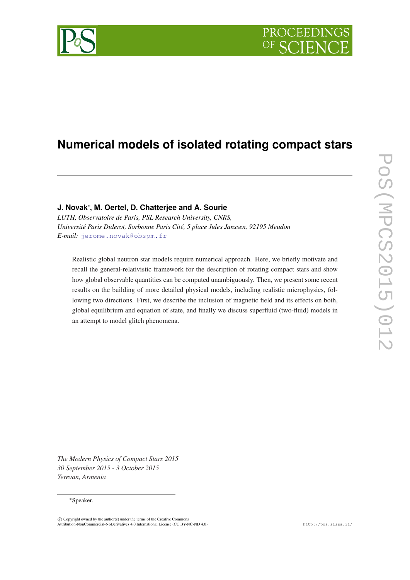# PROCEEDIN

## **Numerical models of isolated rotating compact stars**

### **J. Novak**<sup>∗</sup> **, M. Oertel, D. Chatterjee and A. Sourie**

*LUTH, Observatoire de Paris, PSL Research University, CNRS, Université Paris Diderot, Sorbonne Paris Cité, 5 place Jules Janssen, 92195 Meudon E-mail:* [jerome.novak@obspm.fr](mailto:jerome.novak@obspm.fr)

Realistic global neutron star models require numerical approach. Here, we briefly motivate and recall the general-relativistic framework for the description of rotating compact stars and show how global observable quantities can be computed unambiguously. Then, we present some recent results on the building of more detailed physical models, including realistic microphysics, following two directions. First, we describe the inclusion of magnetic field and its effects on both, global equilibrium and equation of state, and finally we discuss superfluid (two-fluid) models in an attempt to model glitch phenomena.

*The Modern Physics of Compact Stars 2015 30 September 2015 - 3 October 2015 Yerevan, Armenia*

#### <sup>∗</sup>Speaker.

 $\overline{c}$  Copyright owned by the author(s) under the terms of the Creative Common Attribution-NonCommercial-NoDerivatives 4.0 International License (CC BY-NC-ND 4.0). http://pos.sissa.it/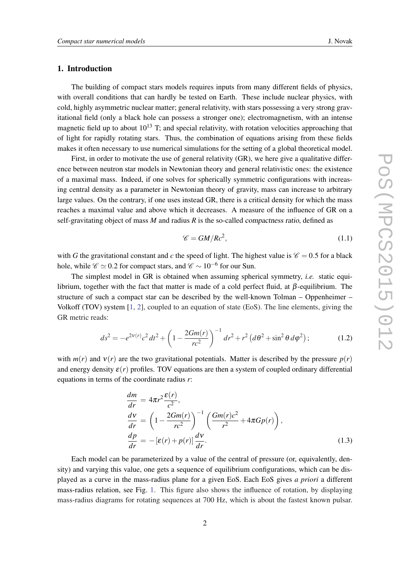#### <span id="page-1-0"></span>1. Introduction

The building of compact stars models requires inputs from many different fields of physics, with overall conditions that can hardly be tested on Earth. These include nuclear physics, with cold, highly asymmetric nuclear matter; general relativity, with stars possessing a very strong gravitational field (only a black hole can possess a stronger one); electromagnetism, with an intense magnetic field up to about  $10^{13}$  T; and special relativity, with rotation velocities approaching that of light for rapidly rotating stars. Thus, the combination of equations arising from these fields makes it often necessary to use numerical simulations for the setting of a global theoretical model.

First, in order to motivate the use of general relativity (GR), we here give a qualitative difference between neutron star models in Newtonian theory and general relativistic ones: the existence of a maximal mass. Indeed, if one solves for spherically symmetric configurations with increasing central density as a parameter in Newtonian theory of gravity, mass can increase to arbitrary large values. On the contrary, if one uses instead GR, there is a critical density for which the mass reaches a maximal value and above which it decreases. A measure of the influence of GR on a self-gravitating object of mass *M* and radius *R* is the so-called compactness ratio, defined as

$$
\mathscr{C} = GM/Rc^2,\tag{1.1}
$$

with *G* the gravitational constant and *c* the speed of light. The highest value is  $\mathcal{C} = 0.5$  for a black hole, while  $\mathscr{C} \simeq 0.2$  for compact stars, and  $\mathscr{C} \sim 10^{-6}$  for our Sun.

The simplest model in GR is obtained when assuming spherical symmetry, *i.e.* static equilibrium, together with the fact that matter is made of a cold perfect fluid, at β-equilibrium. The structure of such a compact star can be described by the well-known Tolman – Oppenheimer – Volkoff (TOV) system [\[1,](#page-10-0) [2\]](#page-11-0), coupled to an equation of state (EoS). The line elements, giving the GR metric reads:

$$
ds^{2} = -e^{2V(r)}c^{2}dt^{2} + \left(1 - \frac{2Gm(r)}{rc^{2}}\right)^{-1}dr^{2} + r^{2}\left(d\theta^{2} + \sin^{2}\theta\,d\varphi^{2}\right);
$$
 (1.2)

with  $m(r)$  and  $v(r)$  are the two gravitational potentials. Matter is described by the pressure  $p(r)$ and energy density  $\varepsilon(r)$  profiles. TOV equations are then a system of coupled ordinary differential equations in terms of the coordinate radius *r*:

$$
\begin{aligned}\n\frac{dm}{dr} &= 4\pi r^2 \frac{\varepsilon(r)}{c^2},\\
\frac{dv}{dr} &= \left(1 - \frac{2Gm(r)}{rc^2}\right)^{-1} \left(\frac{Gm(r)c^2}{r^2} + 4\pi Gp(r)\right),\\
\frac{dp}{dr} &= -\left[\varepsilon(r) + p(r)\right] \frac{d\mathbf{v}}{dr}.\n\end{aligned} \tag{1.3}
$$

Each model can be parameterized by a value of the central of pressure (or, equivalently, density) and varying this value, one gets a sequence of equilibrium configurations, which can be displayed as a curve in the mass-radius plane for a given EoS. Each EoS gives *a priori* a different mass-radius relation, see Fig. [1.](#page-2-0) This figure also shows the influence of rotation, by displaying mass-radius diagrams for rotating sequences at 700 Hz, which is about the fastest known pulsar.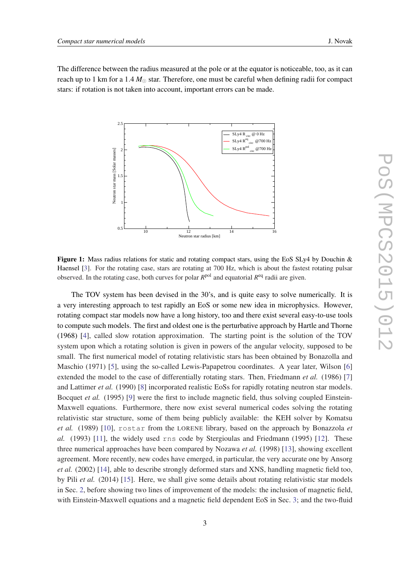<span id="page-2-0"></span>The difference between the radius measured at the pole or at the equator is noticeable, too, as it can reach up to 1 km for a 1.4  $M_{\odot}$  star. Therefore, one must be careful when defining radii for compact stars: if rotation is not taken into account, important errors can be made.



Figure 1: Mass radius relations for static and rotating compact stars, using the EoS SLy4 by Douchin  $\&$ Haensel [\[3](#page-11-0)]. For the rotating case, stars are rotating at 700 Hz, which is about the fastest rotating pulsar observed. In the rotating case, both curves for polar *R*<sup>pol</sup> and equatorial *R*<sup>eq</sup> radii are given.

The TOV system has been devised in the 30's, and is quite easy to solve numerically. It is a very interesting approach to test rapidly an EoS or some new idea in microphysics. However, rotating compact star models now have a long history, too and there exist several easy-to-use tools to compute such models. The first and oldest one is the perturbative approach by Hartle and Thorne (1968) [\[4\]](#page-11-0), called slow rotation approximation. The starting point is the solution of the TOV system upon which a rotating solution is given in powers of the angular velocity, supposed to be small. The first numerical model of rotating relativistic stars has been obtained by Bonazolla and Maschio (1971) [[5](#page-11-0)], using the so-called Lewis-Papapetrou coordinates. A year later, Wilson [[6](#page-11-0)] extended the model to the case of differentially rotating stars. Then, Friedmann *et al.* (1986) [[7](#page-11-0)] and Lattimer *et al.* (1990) [[8](#page-11-0)] incorporated realistic EoSs for rapidly rotating neutron star models. Bocquet *et al.* (1995) [\[9](#page-11-0)] were the first to include magnetic field, thus solving coupled Einstein-Maxwell equations. Furthermore, there now exist several numerical codes solving the rotating relativistic star structure, some of them being publicly available: the KEH solver by Komatsu *et al.* (1989) [\[10](#page-11-0)], rostar from the LORENE library, based on the approach by Bonazzola *et al.* (1993) [\[11\]](#page-11-0), the widely used rns code by Stergioulas and Friedmann (1995) [[12\]](#page-11-0). These three numerical approaches have been compared by Nozawa *et al.* (1998) [[13\]](#page-11-0), showing excellent agreement. More recently, new codes have emerged, in particular, the very accurate one by Ansorg *et al.* (2002) [[14\]](#page-11-0), able to describe strongly deformed stars and XNS, handling magnetic field too, by Pili *et al.* (2014) [\[15\]](#page-11-0). Here, we shall give some details about rotating relativistic star models in Sec. [2](#page-3-0), before showing two lines of improvement of the models: the inclusion of magnetic field, with Einstein-Maxwell equations and a magnetic field dependent EoS in Sec. [3;](#page-4-0) and the two-fluid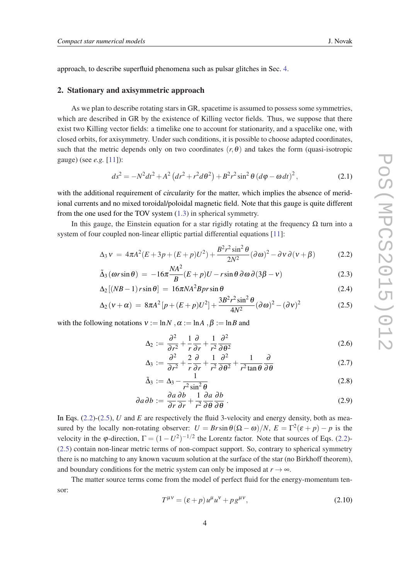<span id="page-3-0"></span>approach, to describe superfluid phenomena such as pulsar glitches in Sec. [4.](#page-7-0)

#### 2. Stationary and axisymmetric approach

As we plan to describe rotating stars in GR, spacetime is assumed to possess some symmetries, which are described in GR by the existence of Killing vector fields. Thus, we suppose that there exist two Killing vector fields: a timelike one to account for stationarity, and a spacelike one, with closed orbits, for axisymmetry. Under such conditions, it is possible to choose adapted coordinates, such that the metric depends only on two coordinates  $(r, \theta)$  and takes the form (quasi-isotropic gauge) (see *e.g.* [[11\]](#page-11-0)):

$$
ds^{2} = -N^{2}dt^{2} + A^{2} (dr^{2} + r^{2}d\theta^{2}) + B^{2}r^{2}\sin^{2}\theta (d\varphi - \omega dt)^{2},
$$
 (2.1)

with the additional requirement of *circularity* for the matter, which implies the absence of meridional currents and no mixed toroidal/poloidal magnetic field. Note that this gauge is quite different from the one used for the TOV system [\(1.3\)](#page-1-0) in spherical symmetry.

In this gauge, the Einstein equation for a star rigidly rotating at the frequency  $\Omega$  turn into a system of four coupled non-linear elliptic partial differential equations [[11\]](#page-11-0):

$$
\Delta_3 v = 4\pi A^2 (E + 3p + (E + p)U^2) + \frac{B^2 r^2 \sin^2 \theta}{2N^2} (\partial \omega)^2 - \partial v \partial (v + \beta)
$$
 (2.2)

$$
\tilde{\Delta}_3(\omega r \sin \theta) = -16\pi \frac{NA^2}{B}(E+p)U - r \sin \theta \, \partial \omega \, \partial (3\beta - v) \tag{2.3}
$$

$$
\Delta_2 \left[ (NB-1) \, r \sin \theta \right] \, = \, 16 \pi N A^2 B \, pr \sin \theta \tag{2.4}
$$

$$
\Delta_2(\nu + \alpha) = 8\pi A^2 [p + (E + p)U^2] + \frac{3B^2 r^2 \sin^2 \theta}{4N^2} (\partial \omega)^2 - (\partial \nu)^2 \tag{2.5}
$$

with the following notations  $v := \ln N \cdot \alpha := \ln A \cdot \beta := \ln B$  and

$$
\Delta_2 := \frac{\partial^2}{\partial r^2} + \frac{1}{r} \frac{\partial}{\partial r} + \frac{1}{r^2} \frac{\partial^2}{\partial \theta^2}
$$
 (2.6)

$$
\Delta_3 := \frac{\partial^2}{\partial r^2} + \frac{2}{r} \frac{\partial}{\partial r} + \frac{1}{r^2} \frac{\partial^2}{\partial \theta^2} + \frac{1}{r^2 \tan \theta} \frac{\partial}{\partial \theta} \tag{2.7}
$$

$$
\tilde{\Delta}_3 := \Delta_3 - \frac{1}{r^2 \sin^2 \theta} \tag{2.8}
$$

$$
\partial a \partial b := \frac{\partial a}{\partial r} \frac{\partial b}{\partial r} + \frac{1}{r^2} \frac{\partial a}{\partial \theta} \frac{\partial b}{\partial \theta}.
$$
 (2.9)

In Eqs. (2.2)-(2.5), *U* and *E* are respectively the fluid 3-velocity and energy density, both as measured by the locally non-rotating observer:  $U = Br \sin \theta (\Omega - \omega)/N$ ,  $E = \Gamma^2(\varepsilon + p) - p$  is the velocity in the  $\varphi$ -direction,  $\Gamma = (1 - U^2)^{-1/2}$  the Lorentz factor. Note that sources of Eqs. (2.2)-(2.5) contain non-linear metric terms of non-compact support. So, contrary to spherical symmetry there is no matching to any known vacuum solution at the surface of the star (no Birkhoff theorem), and boundary conditions for the metric system can only be imposed at  $r \to \infty$ .

The matter source terms come from the model of perfect fluid for the energy-momentum tensor:

$$
T^{\mu\nu} = (\varepsilon + p) u^{\mu} u^{\nu} + p g^{\mu\nu}, \qquad (2.10)
$$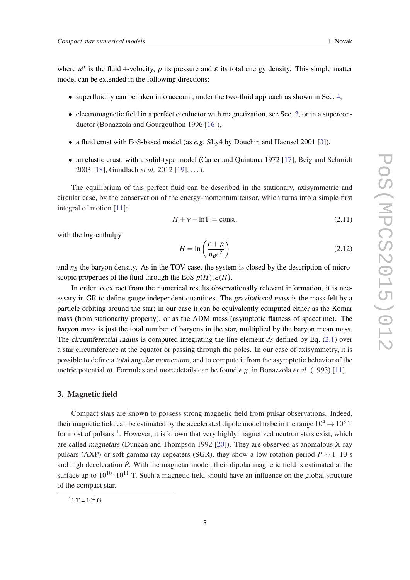<span id="page-4-0"></span>where  $u^{\mu}$  is the fluid 4-velocity, p its pressure and  $\varepsilon$  its total energy density. This simple matter model can be extended in the following directions:

- superfluidity can be taken into account, under the two-fluid approach as shown in Sec. [4](#page-7-0),
- $\bullet$  electromagnetic field in a perfect conductor with magnetization, see Sec. 3, or in a superconductor (Bonazzola and Gourgoulhon 1996 [[16\]](#page-11-0)),
- a fluid crust with EoS-based model (as *e.g.* SLy4 by Douchin and Haensel 2001 [[3](#page-11-0)]),
- an elastic crust, with a solid-type model (Carter and Quintana 1972 [[17\]](#page-11-0), Beig and Schmidt 2003 [[18\]](#page-11-0), Gundlach *et al.* 2012 [\[19](#page-11-0)], ...).

The equilibrium of this perfect fluid can be described in the stationary, axisymmetric and circular case, by the conservation of the energy-momentum tensor, which turns into a simple first integral of motion [\[11](#page-11-0)]:

$$
H + v - \ln \Gamma = \text{const},\tag{2.11}
$$

with the log-enthalpy

$$
H = \ln\left(\frac{\varepsilon + p}{n_{B}c^2}\right) \tag{2.12}
$$

and  $n<sub>B</sub>$  the baryon density. As in the TOV case, the system is closed by the description of microscopic properties of the fluid through the EoS  $p(H), \varepsilon(H)$ .

In order to extract from the numerical results observationally relevant information, it is necessary in GR to define gauge independent quantities. The gravitational mass is the mass felt by a particle orbiting around the star; in our case it can be equivalently computed either as the Komar mass (from stationarity property), or as the ADM mass (asymptotic flatness of spacetime). The baryon mass is just the total number of baryons in the star, multiplied by the baryon mean mass. The circumferential radius is computed integrating the line element *ds* defined by Eq. [\(2.1\)](#page-3-0) over a star circumference at the equator or passing through the poles. In our case of axisymmetry, it is possible to define a total angular momentum, and to compute it from the asymptotic behavior of the metric potential ω. Formulas and more details can be found *e.g.* in Bonazzola *et al.* (1993) [\[11](#page-11-0)].

#### 3. Magnetic field

Compact stars are known to possess strong magnetic field from pulsar observations. Indeed, their magnetic field can be estimated by the accelerated dipole model to be in the range  $10^4 \rightarrow 10^8$  T for most of pulsars <sup>1</sup>. However, it is known that very highly magnetized neutron stars exist, which are called magnetars (Duncan and Thompson 1992 [\[20\]](#page-11-0)). They are observed as anomalous X-ray pulsars (AXP) or soft gamma-ray repeaters (SGR), they show a low rotation period  $P \sim 1$ –10 s and high deceleration  $\dot{P}$ . With the magnetar model, their dipolar magnetic field is estimated at the surface up to  $10^{10}$ – $10^{11}$  T. Such a magnetic field should have an influence on the global structure of the compact star.

 $11 T = 10^4 G$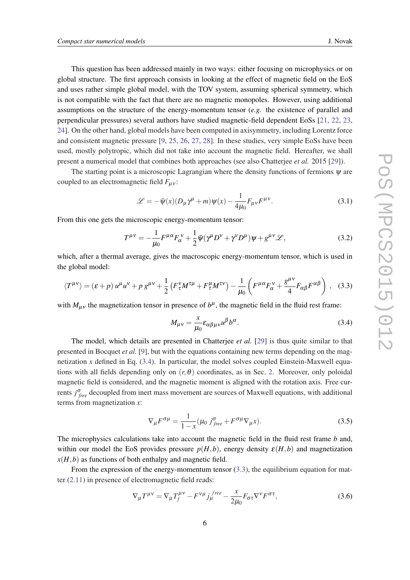This question has been addressed mainly in two ways: either focusing on microphysics or on global structure. The first approach consists in looking at the effect of magnetic field on the EoS and uses rather simple global model, with the TOV system, assuming spherical symmetry, which is not compatible with the fact that there are no magnetic monopoles. However, using additional assumptions on the structure of the energy-momentum tensor (*e.g.* the existence of parallel and perpendicular pressures) several authors have studied magnetic-field dependent EoSs [[21,](#page-12-0) [22](#page-12-0), [23](#page-12-0), [24](#page-12-0)]. On the other hand, global models have been computed in axisymmetry, including Lorentz force and consistent magnetic pressure [\[9,](#page-11-0) [25](#page-12-0), [26,](#page-12-0) [27](#page-12-0), [28\]](#page-12-0). In these studies, very simple EoSs have been used, mostly polytropic, which did not take into account the magnetic field. Hereafter, we shall present a numerical model that combines both approaches (see also Chatterjee *et al.* 2015 [[29](#page-12-0)]).

The starting point is a microscopic Lagrangian where the density functions of fermions  $\psi$  are coupled to an electromagnetic field  $F_{\mu\nu}$ :

$$
\mathcal{L} = -\bar{\psi}(x)(D_{\mu}\gamma^{\mu} + m)\psi(x) - \frac{1}{4\mu_0}F_{\mu\nu}F^{\mu\nu}.
$$
\n(3.1)

From this one gets the microscopic energy-momentum tensor:

$$
T^{\mu\nu} = -\frac{1}{\mu_0} F^{\mu\alpha} F^{\nu}_{\alpha} + \frac{1}{2} \bar{\Psi} (\gamma^{\mu} D^{\nu} + \gamma^{\nu} D^{\mu}) \Psi + g^{\mu\nu} \mathscr{L}, \tag{3.2}
$$

which, after a thermal average, gives the macroscopic energy-momentum tensor, which is used in the global model:

$$
\langle T^{\mu\nu}\rangle = (\varepsilon + p) u^{\mu} u^{\nu} + p g^{\mu\nu} + \frac{1}{2} \left( F^{\nu}_{\tau} M^{\tau\mu} + F^{\mu}_{\tau} M^{\tau\nu} \right) - \frac{1}{\mu_0} \left( F^{\mu\alpha} F^{\nu}_{\alpha} + \frac{g^{\mu\nu}}{4} F_{\alpha\beta} F^{\alpha\beta} \right) , \quad (3.3)
$$

with  $M_{\mu\nu}$  the magnetization tensor in presence of  $b^{\mu}$ , the magnetic field in the fluid rest frame:

$$
M_{\mu\nu} = \frac{x}{\mu_0} \varepsilon_{\alpha\beta\mu\nu} u^{\beta} b^{\alpha}.
$$
 (3.4)

The model, which details are presented in Chatterjee *et al.* [\[29](#page-12-0)] is thus quite similar to that presented in Bocquet *et al.* [[9](#page-11-0)], but with the equations containing new terms depending on the magnetization *x* defined in Eq. (3.4). In particular, the model solves coupled Einstein-Maxwell equations with all fields depending only on  $(r, \theta)$  coordinates, as in Sec. [2](#page-3-0). Moreover, only poloidal magnetic field is considered, and the magnetic moment is aligned with the rotation axis. Free currents *j* σ *free* decoupled from inert mass movement are sources of Maxwell equations, with additional terms from magnetization *x*:

$$
\nabla_{\mu} F^{\sigma \mu} = \frac{1}{1 - x} (\mu_0 j_{free}^{\sigma} + F^{\sigma \mu} \nabla_{\mu} x). \tag{3.5}
$$

The microphysics calculations take into account the magnetic field in the fluid rest frame *b* and, within our model the EoS provides pressure  $p(H, b)$ , energy density  $\varepsilon(H, b)$  and magnetization  $x(H, b)$  as functions of both enthalpy and magnetic field.

From the expression of the energy-momentum tensor  $(3.3)$ , the equilibrium equation for matter [\(2.11](#page-4-0)) in presence of electromagnetic field reads:

$$
\nabla_{\mu}T^{\mu\nu} = \nabla_{\mu}T_f^{\mu\nu} - F^{\nu\mu}j_{\mu}^{free} - \frac{x}{2\mu_0}F_{\sigma\tau}\nabla^{\nu}F^{\sigma\tau},\tag{3.6}
$$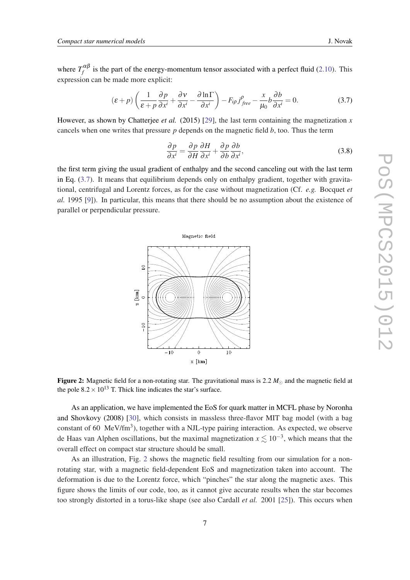where  $T_f^{\alpha\beta}$  $f_f^{\mu\nu}$  is the part of the energy-momentum tensor associated with a perfect fluid ([2.10](#page-3-0)). This expression can be made more explicit:

$$
(\varepsilon + p) \left( \frac{1}{\varepsilon + p} \frac{\partial p}{\partial x^i} + \frac{\partial v}{\partial x^i} - \frac{\partial \ln \Gamma}{\partial x^i} \right) - F_{ip} j_{free}^{\rho} - \frac{x}{\mu_0} b \frac{\partial b}{\partial x^i} = 0.
$$
 (3.7)

However, as shown by Chatterjee *et al.* (2015) [\[29](#page-12-0)], the last term containing the magnetization *x* cancels when one writes that pressure *p* depends on the magnetic field *b*, too. Thus the term

$$
\frac{\partial p}{\partial x^i} = \frac{\partial p}{\partial H} \frac{\partial H}{\partial x^i} + \frac{\partial p}{\partial b} \frac{\partial b}{\partial x^i},
$$
(3.8)

the first term giving the usual gradient of enthalpy and the second canceling out with the last term in Eq. (3.7). It means that equilibrium depends only on enthalpy gradient, together with gravitational, centrifugal and Lorentz forces, as for the case without magnetization (Cf. *e.g.* Bocquet *et al.* 1995 [[9](#page-11-0)]). In particular, this means that there should be no assumption about the existence of parallel or perpendicular pressure.



Figure 2: Magnetic field for a non-rotating star. The gravitational mass is 2.2  $M_{\odot}$  and the magnetic field at the pole  $8.2 \times 10^{13}$  T. Thick line indicates the star's surface.

As an application, we have implemented the EoS for quark matter in MCFL phase by Noronha and Shovkovy (2008) [\[30](#page-12-0)], which consists in massless three-flavor MIT bag model (with a bag constant of 60  $\text{MeV}/\text{fm}^3$ ), together with a NJL-type pairing interaction. As expected, we observe de Haas van Alphen oscillations, but the maximal magnetization  $x \lesssim 10^{-3}$ , which means that the overall effect on compact star structure should be small.

As an illustration, Fig. 2 shows the magnetic field resulting from our simulation for a nonrotating star, with a magnetic field-dependent EoS and magnetization taken into account. The deformation is due to the Lorentz force, which "pinches" the star along the magnetic axes. This figure shows the limits of our code, too, as it cannot give accurate results when the star becomes too strongly distorted in a torus-like shape (see also Cardall *et al.* 2001 [[25\]](#page-12-0)). This occurs when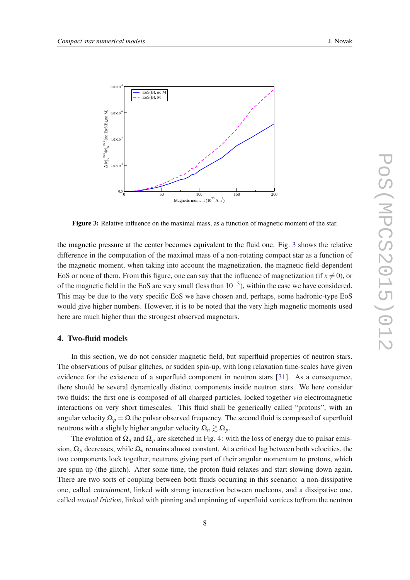<span id="page-7-0"></span>

Figure 3: Relative influence on the maximal mass, as a function of magnetic moment of the star.

the magnetic pressure at the center becomes equivalent to the fluid one. Fig. 3 shows the relative difference in the computation of the maximal mass of a non-rotating compact star as a function of the magnetic moment, when taking into account the magnetization, the magnetic field-dependent EoS or none of them. From this figure, one can say that the influence of magnetization (if  $x \neq 0$ ), or of the magnetic field in the EoS are very small (less than  $10^{-3}$ ), within the case we have considered. This may be due to the very specific EoS we have chosen and, perhaps, some hadronic-type EoS would give higher numbers. However, it is to be noted that the very high magnetic moments used here are much higher than the strongest observed magnetars.

#### 4. Two-fluid models

In this section, we do not consider magnetic field, but superfluid properties of neutron stars. The observations of pulsar glitches, or sudden spin-up, with long relaxation time-scales have given evidence for the existence of a superfluid component in neutron stars [[31\]](#page-12-0). As a consequence, there should be several dynamically distinct components inside neutron stars. We here consider two fluids: the first one is composed of all charged particles, locked together *via* electromagnetic interactions on very short timescales. This fluid shall be generically called "protons", with an angular velocity  $\Omega_p = \Omega$  the pulsar observed frequency. The second fluid is composed of superfluid neutrons with a slightly higher angular velocity  $\Omega_n \geq \Omega_n$ .

The evolution of  $\Omega_n$  and  $\Omega_p$  are sketched in Fig. [4](#page-8-0): with the loss of energy due to pulsar emission,  $\Omega_p$  decreases, while  $\Omega_n$  remains almost constant. At a critical lag between both velocities, the two components lock together, neutrons giving part of their angular momentum to protons, which are spun up (the glitch). After some time, the proton fluid relaxes and start slowing down again. There are two sorts of coupling between both fluids occurring in this scenario: a non-dissipative one, called entrainment, linked with strong interaction between nucleons, and a dissipative one, called mutual friction, linked with pinning and unpinning of superfluid vortices to/from the neutron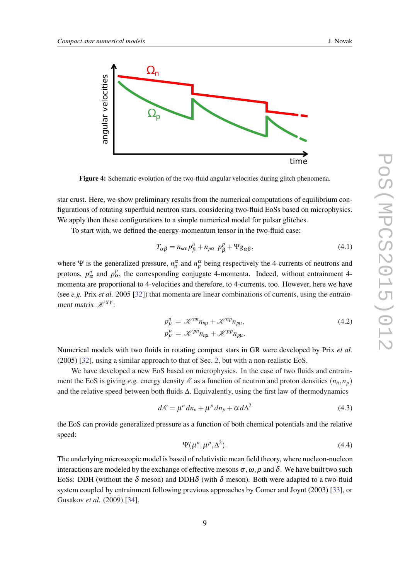<span id="page-8-0"></span>

Figure 4: Schematic evolution of the two-fluid angular velocities during glitch phenomena.

star crust. Here, we show preliminary results from the numerical computations of equilibrium configurations of rotating superfluid neutron stars, considering two-fluid EoSs based on microphysics. We apply then these configurations to a simple numerical model for pulsar glitches.

To start with, we defined the energy-momentum tensor in the two-fluid case:

$$
T_{\alpha\beta} = n_{n\alpha} p_{\beta}^n + n_{p\alpha} p_{\beta}^p + \Psi g_{\alpha\beta}, \qquad (4.1)
$$

where  $\Psi$  is the generalized pressure,  $n_n^{\alpha}$  and  $n_p^{\alpha}$  being respectively the 4-currents of neutrons and protons,  $p_\alpha^n$  and  $p_\alpha^p$ , the corresponding conjugate 4-momenta. Indeed, without entrainment 4momenta are proportional to 4-velocities and therefore, to 4-currents, too. However, here we have (see *e.g.* Prix *et al.* 2005 [\[32\]](#page-12-0)) that momenta are linear combinations of currents, using the entrainment matrix  $\mathcal{K}^{XY}$ :

$$
p_{\mu}^{n} = \mathcal{K}^{nn} n_{n\mu} + \mathcal{K}^{np} n_{p\mu},
$$
  
\n
$$
p_{\mu}^{p} = \mathcal{K}^{pn} n_{n\mu} + \mathcal{K}^{pp} n_{p\mu}.
$$
\n(4.2)

Numerical models with two fluids in rotating compact stars in GR were developed by Prix *et al.* (2005) [[32\]](#page-12-0), using a similar approach to that of Sec. [2](#page-3-0), but with a non-realistic EoS.

We have developed a new EoS based on microphysics. In the case of two fluids and entrainment the EoS is giving *e.g.* energy density  $\mathscr E$  as a function of neutron and proton densities  $(n_n, n_p)$ and the relative speed between both fluids ∆. Equivalently, using the first law of thermodynamics

$$
d\mathscr{E} = \mu^n dn_n + \mu^p dn_p + \alpha d\Delta^2
$$
 (4.3)

the EoS can provide generalized pressure as a function of both chemical potentials and the relative speed:

$$
\Psi(\mu^n, \mu^p, \Delta^2). \tag{4.4}
$$

The underlying microscopic model is based of relativistic mean field theory, where nucleon-nucleon interactions are modeled by the exchange of effective mesons  $\sigma, \omega, \rho$  and  $\delta$ . We have built two such EoSs: DDH (without the  $\delta$  meson) and DDH $\delta$  (with  $\delta$  meson). Both were adapted to a two-fluid system coupled by entrainment following previous approaches by Comer and Joynt (2003) [[33\]](#page-12-0), or Gusakov *et al.* (2009) [\[34](#page-12-0)].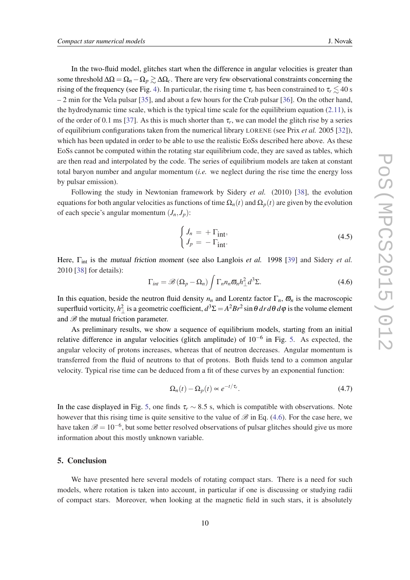In the two-fluid model, glitches start when the difference in angular velocities is greater than some threshold  $\Delta\Omega = \Omega_n - \Omega_p \gtrsim \Delta\Omega_c$ . There are very few observational constraints concerning the rising of the frequency (see Fig. [4\)](#page-8-0). In particular, the rising time  $\tau_r$  has been constrained to  $\tau_r \lesssim 40$  s – 2 min for the Vela pulsar [[35\]](#page-12-0), and about a few hours for the Crab pulsar [[36\]](#page-12-0). On the other hand, the hydrodynamic time scale, which is the typical time scale for the equilibrium equation  $(2.11)$  $(2.11)$ , is of the order of 0.1 ms [\[37](#page-12-0)]. As this is much shorter than  $\tau_r$ , we can model the glitch rise by a series of equilibrium configurations taken from the numerical library LORENE (see Prix *et al.* 2005 [\[32\]](#page-12-0)), which has been updated in order to be able to use the realistic EoSs described here above. As these EoSs cannot be computed within the rotating star equilibrium code, they are saved as tables, which are then read and interpolated by the code. The series of equilibrium models are taken at constant total baryon number and angular momentum (*i.e.* we neglect during the rise time the energy loss by pulsar emission).

Following the study in Newtonian framework by Sidery *et al.* (2010) [[38](#page-12-0)], the evolution equations for both angular velocities as functions of time  $\Omega_n(t)$  and  $\Omega_n(t)$  are given by the evolution of each specie's angular momentum  $(J_n, J_p)$ :

$$
\begin{cases}\n\dot{J}_n = +\Gamma_{\text{int}}, \\
\dot{J}_p = -\Gamma_{\text{int}}.\n\end{cases}
$$
\n(4.5)

Here, Γ<sub>int</sub> is the mutual friction moment (see also Langlois *et al.* 1998 [[39\]](#page-12-0) and Sidery *et al.* 2010 [[38](#page-12-0)] for details):

$$
\Gamma_{int} = \mathscr{B}\left(\Omega_p - \Omega_n\right) \int \Gamma_n n_n \varpi_n h_{\perp}^2 d^3 \Sigma. \tag{4.6}
$$

In this equation, beside the neutron fluid density  $n_n$  and Lorentz factor  $\Gamma_n$ ,  $\overline{\omega}_n$  is the macroscopic superfluid vorticity,  $h_{\perp}^2$  is a geometric coefficient,  $d^3\Sigma = A^2Br^2\sin\theta\,dr\,d\theta\,d\varphi$  is the volume element and  $\mathscr{B}$  the mutual friction parameter.

As preliminary results, we show a sequence of equilibrium models, starting from an initial relative difference in angular velocities (glitch amplitude) of  $10^{-6}$  in Fig. [5.](#page-10-0) As expected, the angular velocity of protons increases, whereas that of neutron decreases. Angular momentum is transferred from the fluid of neutrons to that of protons. Both fluids tend to a common angular velocity. Typical rise time can be deduced from a fit of these curves by an exponential function:

$$
\Omega_n(t) - \Omega_p(t) \propto e^{-t/\tau_r}.\tag{4.7}
$$

In the case displayed in Fig. [5](#page-10-0), one finds  $\tau_r \sim 8.5$  s, which is compatible with observations. Note however that this rising time is quite sensitive to the value of  $\mathscr B$  in Eq. (4.6). For the case here, we have taken  $\mathscr{B} = 10^{-6}$ , but some better resolved observations of pulsar glitches should give us more information about this mostly unknown variable.

#### 5. Conclusion

We have presented here several models of rotating compact stars. There is a need for such models, where rotation is taken into account, in particular if one is discussing or studying radii of compact stars. Moreover, when looking at the magnetic field in such stars, it is absolutely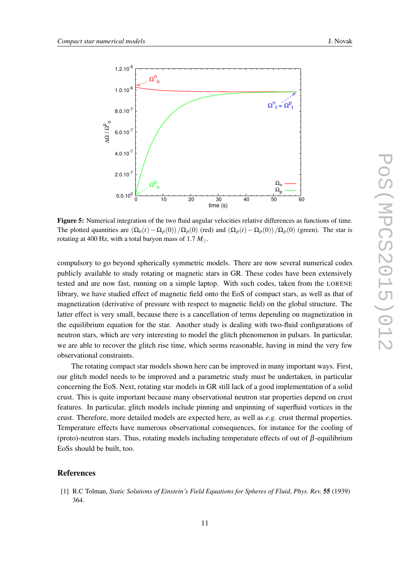<span id="page-10-0"></span>

Figure 5: Numerical integration of the two fluid angular velocities relative differences as functions of time. The plotted quantities are  $(\Omega_n(t) - \Omega_p(0))/\Omega_p(0)$  (red) and  $(\Omega_p(t) - \Omega_p(0))/\Omega_p(0)$  (green). The star is rotating at 400 Hz, with a total baryon mass of 1.7  $M_{\odot}$ .

compulsory to go beyond spherically symmetric models. There are now several numerical codes publicly available to study rotating or magnetic stars in GR. These codes have been extensively tested and are now fast, running on a simple laptop. With such codes, taken from the LORENE library, we have studied effect of magnetic field onto the EoS of compact stars, as well as that of magnetization (derivative of pressure with respect to magnetic field) on the global structure. The latter effect is very small, because there is a cancellation of terms depending on magnetization in the equilibrium equation for the star. Another study is dealing with two-fluid configurations of neutron stars, which are very interesting to model the glitch phenomenon in pulsars. In particular, we are able to recover the glitch rise time, which seems reasonable, having in mind the very few observational constraints.

The rotating compact star models shown here can be improved in many important ways. First, our glitch model needs to be improved and a parametric study must be undertaken, in particular concerning the EoS. Next, rotating star models in GR still lack of a good implementation of a solid crust. This is quite important because many observational neutron star properties depend on crust features. In particular, glitch models include pinning and unpinning of superfluid vortices in the crust. Therefore, more detailed models are expected here, as well as *e.g.* crust thermal properties. Temperature effects have numerous observational consequences, for instance for the cooling of (proto)-neutron stars. Thus, rotating models including temperature effects of out of β-equilibrium EoSs should be built, too.

#### References

[1] R.C Tolman, *Static Solutions of Einstein's Field Equations for Spheres of Fluid*, *Phys. Rev.* 55 (1939) 364.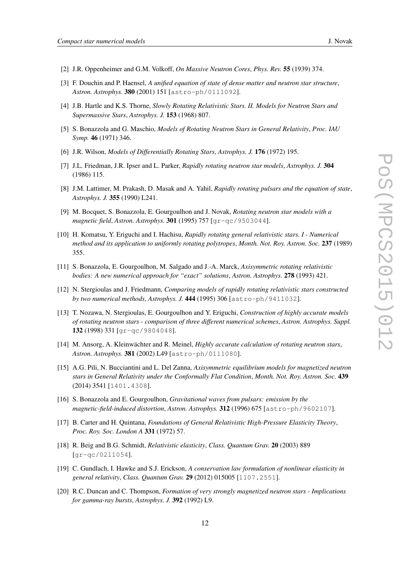- <span id="page-11-0"></span>[2] J.R. Oppenheimer and G.M. Volkoff, *On Massive Neutron Cores*, *Phys. Rev.* 55 (1939) 374.
- [3] F. Douchin and P. Haensel, *A unified equation of state of dense matter and neutron star structure*, *Astron. Astrophys.* 380 (2001) 151 [astro-ph/0111092].
- [4] J.B. Hartle and K.S. Thorne, *Slowly Rotating Relativistic Stars. II. Models for Neutron Stars and Supermassive Stars*, *Astrophys. J.* 153 (1968) 807.
- [5] S. Bonazzola and G. Maschio, *Models of Rotating Neutron Stars in General Relativity*, *Proc. IAU Symp.* 46 (1971) 346.
- [6] J.R. Wilson, *Models of Differentially Rotating Stars*, *Astrophys. J.* 176 (1972) 195.
- [7] J.L. Friedman, J.R. Ipser and L. Parker, *Rapidly rotating neutron star models*, *Astrophys. J.* 304 (1986) 115.
- [8] J.M. Lattimer, M. Prakash, D. Masak and A. Yahil, *Rapidly rotating pulsars and the equation of state*, *Astrophys. J.* 355 (1990) L241.
- [9] M. Bocquet, S. Bonazzola, E. Gourgoulhon and J. Novak, *Rotating neutron star models with a magnetic field*, *Astron. Astrophys.* 301 (1995) 757 [gr-qc/9503044].
- [10] H. Komatsu, Y. Eriguchi and I. Hachisu, *Rapidly rotating general relativistic stars. I Numerical method and its application to uniformly rotating polytropes*, *Month. Not. Roy. Astron. Soc.* 237 (1989) 355.
- [11] S. Bonazzola, E. Gourgoulhon, M. Salgado and J.-A. Marck, *Axisymmetric rotating relativistic bodies: A new numerical approach for "exact" solutions*, *Astron. Astrophys.* 278 (1993) 421.
- [12] N. Stergioulas and J. Friedmann, *Comparing models of rapidly rotating relativistic stars constructed by two numerical methods*, *Astrophys. J.* 444 (1995) 306 [astro-ph/9411032].
- [13] T. Nozawa, N. Stergioulas, E. Gourgoulhon and Y. Eriguchi, *Construction of highly accurate models of rotating neutron stars - comparison of three different numerical schemes*, *Astron. Astrophys. Suppl.* 132 (1998) 331 [gr-qc/9804048].
- [14] M. Ansorg, A. Kleinwächter and R. Meinel, *Highly accurate calculation of rotating neutron stars*, *Astron. Astrophys.* 381 (2002) L49 [astro-ph/0111080].
- [15] A.G. Pili, N. Bucciantini and L. Del Zanna, *Axisymmetric equilibrium models for magnetized neutron stars in General Relativity under the Conformally Flat Condition*, *Month. Not. Roy. Astron. Soc.* 439 (2014) 3541 [1401.4308].
- [16] S. Bonazzola and E. Gourgoulhon, *Gravitational waves from pulsars: emission by the magnetic-field-induced distortion*, *Astron. Astrophys.* 312 (1996) 675 [astro-ph/9602107].
- [17] B. Carter and H. Quintana, *Foundations of General Relativistic High-Pressure Elasticity Theory*, *Proc. Roy. Soc. London A* 331 (1972) 57.
- [18] R. Beig and B.G. Schmidt, *Relativistic elasticity*, *Class. Quantum Grav.* 20 (2003) 889 [gr-qc/0211054].
- [19] C. Gundlach, I. Hawke and S.J. Erickson, *A conservation law formulation of nonlinear elasticity in general relativity*, *Class. Quantum Grav.* 29 (2012) 015005 [1107.2551].
- [20] R.C. Duncan and C. Thompson, *Formation of very strongly magnetized neutron stars Implications for gamma-ray bursts*, *Astrophys. J.* 392 (1992) L9.